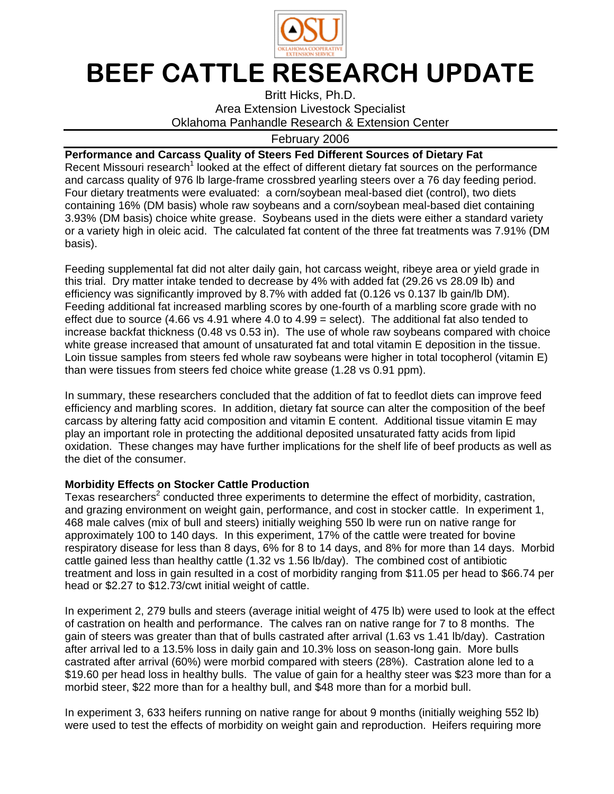

# BEEF CATTLE RESEARCH UPDATE

Britt Hicks, Ph.D. Area Extension Livestock Specialist Oklahoma Panhandle Research & Extension Center

## February 2006

### **Performance and Carcass Quality of Steers Fed Different Sources of Dietary Fat**

Recent Missouri research<sup>1</sup> looked at the effect of different dietary fat sources on the performance and carcass quality of 976 lb large-frame crossbred yearling steers over a 76 day feeding period. Four dietary treatments were evaluated: a corn/soybean meal-based diet (control), two diets containing 16% (DM basis) whole raw soybeans and a corn/soybean meal-based diet containing 3.93% (DM basis) choice white grease. Soybeans used in the diets were either a standard variety or a variety high in oleic acid. The calculated fat content of the three fat treatments was 7.91% (DM basis).

Feeding supplemental fat did not alter daily gain, hot carcass weight, ribeye area or yield grade in this trial. Dry matter intake tended to decrease by 4% with added fat (29.26 vs 28.09 lb) and efficiency was significantly improved by 8.7% with added fat (0.126 vs 0.137 lb gain/lb DM). Feeding additional fat increased marbling scores by one-fourth of a marbling score grade with no effect due to source  $(4.66 \text{ vs } 4.91 \text{ where } 4.0 \text{ to } 4.99 = \text{select})$ . The additional fat also tended to increase backfat thickness (0.48 vs 0.53 in). The use of whole raw soybeans compared with choice white grease increased that amount of unsaturated fat and total vitamin E deposition in the tissue. Loin tissue samples from steers fed whole raw soybeans were higher in total tocopherol (vitamin E) than were tissues from steers fed choice white grease (1.28 vs 0.91 ppm).

In summary, these researchers concluded that the addition of fat to feedlot diets can improve feed efficiency and marbling scores. In addition, dietary fat source can alter the composition of the beef carcass by altering fatty acid composition and vitamin E content. Additional tissue vitamin E may play an important role in protecting the additional deposited unsaturated fatty acids from lipid oxidation. These changes may have further implications for the shelf life of beef products as well as the diet of the consumer.

#### **Morbidity Effects on Stocker Cattle Production**

Texas researchers<sup>2</sup> conducted three experiments to determine the effect of morbidity, castration, and grazing environment on weight gain, performance, and cost in stocker cattle. In experiment 1, 468 male calves (mix of bull and steers) initially weighing 550 lb were run on native range for approximately 100 to 140 days. In this experiment, 17% of the cattle were treated for bovine respiratory disease for less than 8 days, 6% for 8 to 14 days, and 8% for more than 14 days. Morbid cattle gained less than healthy cattle (1.32 vs 1.56 lb/day). The combined cost of antibiotic treatment and loss in gain resulted in a cost of morbidity ranging from \$11.05 per head to \$66.74 per head or \$2.27 to \$12.73/cwt initial weight of cattle.

In experiment 2, 279 bulls and steers (average initial weight of 475 lb) were used to look at the effect of castration on health and performance. The calves ran on native range for 7 to 8 months. The gain of steers was greater than that of bulls castrated after arrival (1.63 vs 1.41 lb/day). Castration after arrival led to a 13.5% loss in daily gain and 10.3% loss on season-long gain. More bulls castrated after arrival (60%) were morbid compared with steers (28%). Castration alone led to a \$19.60 per head loss in healthy bulls. The value of gain for a healthy steer was \$23 more than for a morbid steer, \$22 more than for a healthy bull, and \$48 more than for a morbid bull.

In experiment 3, 633 heifers running on native range for about 9 months (initially weighing 552 lb) were used to test the effects of morbidity on weight gain and reproduction. Heifers requiring more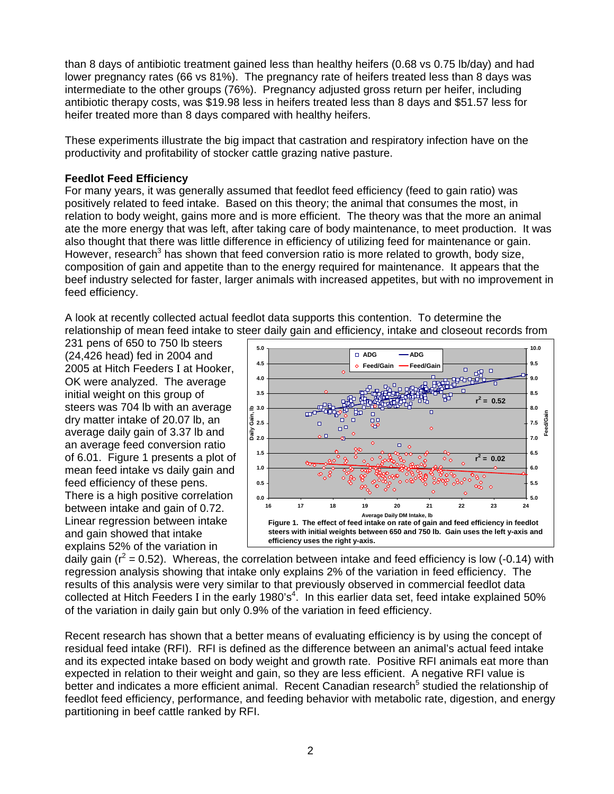than 8 days of antibiotic treatment gained less than healthy heifers (0.68 vs 0.75 lb/day) and had lower pregnancy rates (66 vs 81%). The pregnancy rate of heifers treated less than 8 days was intermediate to the other groups (76%). Pregnancy adjusted gross return per heifer, including antibiotic therapy costs, was \$19.98 less in heifers treated less than 8 days and \$51.57 less for heifer treated more than 8 days compared with healthy heifers.

These experiments illustrate the big impact that castration and respiratory infection have on the productivity and profitability of stocker cattle grazing native pasture.

#### **Feedlot Feed Efficiency**

For many years, it was generally assumed that feedlot feed efficiency (feed to gain ratio) was positively related to feed intake. Based on this theory; the animal that consumes the most, in relation to body weight, gains more and is more efficient. The theory was that the more an animal ate the more energy that was left, after taking care of body maintenance, to meet production. It was also thought that there was little difference in efficiency of utilizing feed for maintenance or gain. However, research<sup>3</sup> has shown that feed conversion ratio is more related to growth, body size, composition of gain and appetite than to the energy required for maintenance. It appears that the beef industry selected for faster, larger animals with increased appetites, but with no improvement in feed efficiency.

A look at recently collected actual feedlot data supports this contention. To determine the relationship of mean feed intake to steer daily gain and efficiency, intake and closeout records from

231 pens of 650 to 750 lb steers (24,426 head) fed in 2004 and 2005 at Hitch Feeders I at Hooker, OK were analyzed. The average initial weight on this group of steers was 704 lb with an average dry matter intake of 20.07 lb, an average daily gain of 3.37 lb and an average feed conversion ratio of 6.01. Figure 1 presents a plot of mean feed intake vs daily gain and feed efficiency of these pens. There is a high positive correlation between intake and gain of 0.72. Linear regression between intake and gain showed that intake explains 52% of the variation in



daily gain ( $r^2$  = 0.52). Whereas, the correlation between intake and feed efficiency is low (-0.14) with regression analysis showing that intake only explains 2% of the variation in feed efficiency. The results of this analysis were very similar to that previously observed in commercial feedlot data collected at Hitch Feeders I in the early 1980's<sup>4</sup>. In this earlier data set, feed intake explained 50% of the variation in daily gain but only 0.9% of the variation in feed efficiency.

Recent research has shown that a better means of evaluating efficiency is by using the concept of residual feed intake (RFI). RFI is defined as the difference between an animal's actual feed intake and its expected intake based on body weight and growth rate. Positive RFI animals eat more than expected in relation to their weight and gain, so they are less efficient. A negative RFI value is better and indicates a more efficient animal. Recent Canadian research<sup>5</sup> studied the relationship of feedlot feed efficiency, performance, and feeding behavior with metabolic rate, digestion, and energy partitioning in beef cattle ranked by RFI.